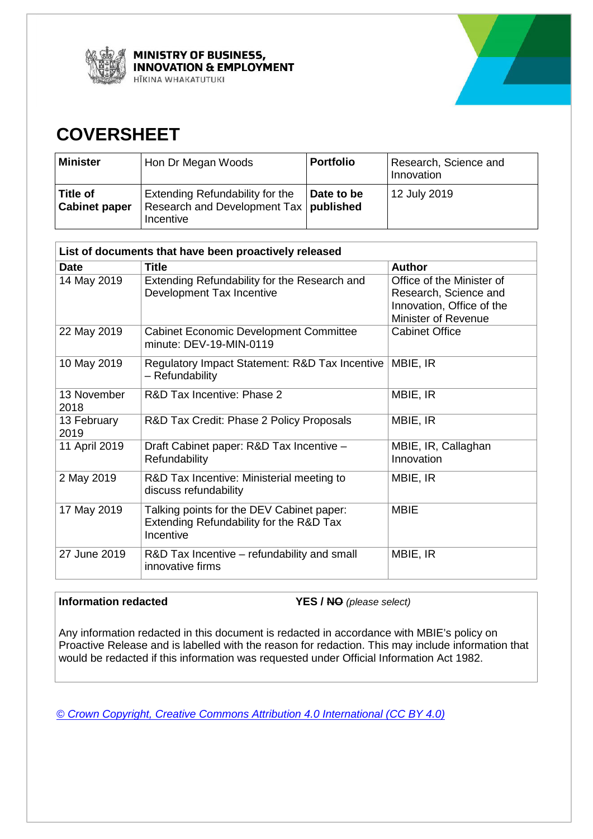



## **COVERSHEET**

| <b>Minister</b>                  | Hon Dr Megan Woods                                                                              | <b>Portfolio</b> | Research, Science and<br>Innovation |
|----------------------------------|-------------------------------------------------------------------------------------------------|------------------|-------------------------------------|
| Title of<br><b>Cabinet paper</b> | <b>Extending Refundability for the</b><br>Research and Development Tax   published<br>Incentive | Date to be       | 12 July 2019                        |

| List of documents that have been proactively released |                                                                                                   |                                                                                                               |  |  |
|-------------------------------------------------------|---------------------------------------------------------------------------------------------------|---------------------------------------------------------------------------------------------------------------|--|--|
| <b>Date</b>                                           | <b>Title</b>                                                                                      | <b>Author</b>                                                                                                 |  |  |
| 14 May 2019                                           | Extending Refundability for the Research and<br>Development Tax Incentive                         | Office of the Minister of<br>Research, Science and<br>Innovation, Office of the<br><b>Minister of Revenue</b> |  |  |
| 22 May 2019                                           | <b>Cabinet Economic Development Committee</b><br>minute: DEV-19-MIN-0119                          | <b>Cabinet Office</b>                                                                                         |  |  |
| 10 May 2019                                           | Regulatory Impact Statement: R&D Tax Incentive<br>- Refundability                                 | MBIE, IR                                                                                                      |  |  |
| 13 November<br>2018                                   | R&D Tax Incentive: Phase 2                                                                        | MBIE, IR                                                                                                      |  |  |
| 13 February<br>2019                                   | R&D Tax Credit: Phase 2 Policy Proposals                                                          | MBIE, IR                                                                                                      |  |  |
| 11 April 2019                                         | Draft Cabinet paper: R&D Tax Incentive -<br>Refundability                                         | MBIE, IR, Callaghan<br>Innovation                                                                             |  |  |
| 2 May 2019                                            | R&D Tax Incentive: Ministerial meeting to<br>discuss refundability                                | MBIE, IR                                                                                                      |  |  |
| 17 May 2019                                           | Talking points for the DEV Cabinet paper:<br>Extending Refundability for the R&D Tax<br>Incentive | <b>MBIE</b>                                                                                                   |  |  |
| 27 June 2019                                          | R&D Tax Incentive – refundability and small<br>innovative firms                                   | MBIE, IR                                                                                                      |  |  |

### **Information redacted**

**YES / NO** (please select)

 would be redacted if this information was requested under Official Information Act 1982. Any information redacted in this document is redacted in accordance with MBIE's policy on Proactive Release and is labelled with the reason for redaction. This may include information that

*© Crown Copyright, Creative Commons Attribution 4.0 International (CC BY 4.0)*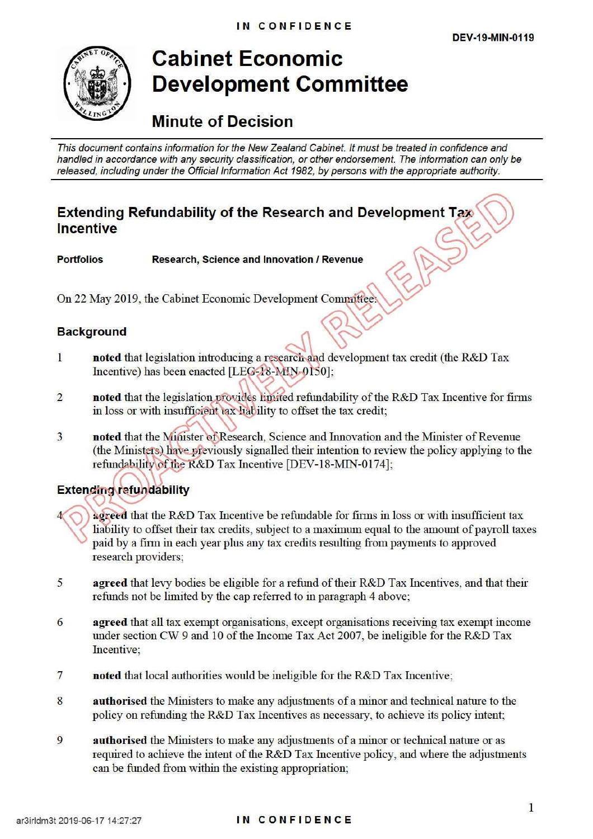

## **Cabinet Economic Development Committee**

## **Minute of Decision**

This document contains information for the New Zealand Cabinet. It must be treated in confidence and handled in accordance with any security classification, or other endorsement. The information can only be released, including under the Official Information Act 1982, by persons with the appropriate authority.

# **Extending Refundability of the Research and Development Tax Incentive**

**Portfolios • Research, Science and Innovation / Revenue** 

On 22 May 2019, the Cabinet Economic Development Committee:

## **Background Background**

- **noted** that legislation introducing a research and development tax credit (the R&D Tax Incentive) has been enacted [LEG-18-MIN-0150];
- 2 **noted that the legislation provides limited refundability of the R&D Tax Incentive for firms** Incentive) has been enacted [LEG-18-MIN-0150];<br> **noted** that the legislation provides hip ided refundability of the<br>
in loss or with insufficient tax liability to offset the tax credit;
- 3 **noted** that the Minister of Research, Science and Innovation and the Minister of Revenue (the Ministers) have previously signalled their intention to review the policy applying to the refundability of the R&D Tax Incentive [DEV-18-MIN-0174];

## **Extending refundability**

- **agreed** that the R&D Tax Incentive be refundable for firms in loss or with insufficient tax liability to offset their tax credits, subject to a maximum equal to the amount of payroll taxes paid by a firm in each year plus any tax credits resulting from payments to approved research providers;
- 5 **agreed** that levy bodies be eligible for a refund of their R&D Tax Incentives, and that their refunds not be limited by the cap referred to in paragraph 4 above;
- 6 **agreed** that all tax exempt organisations, except organisations receiving tax exempt income under section CW 9 and 10 of the Income Tax Act 2007, be ineligible for the R&D Tax Incentive;
- 7 **noted that local authorities would be ineligible for the R&D Tax Incentive;**
- 8 **authorised** the Ministers to make any adjustments of a minor and technical nature to the policy on refunding the R&D Tax Incentives as necessary, to achieve its policy intent;
- 9 **authorised** the Ministers to make any adjustments of a minor or technical nature or as required to achieve the intent of the R&D Tax Incentive policy, and where the adjustments can be funded from within the existing appropriation;